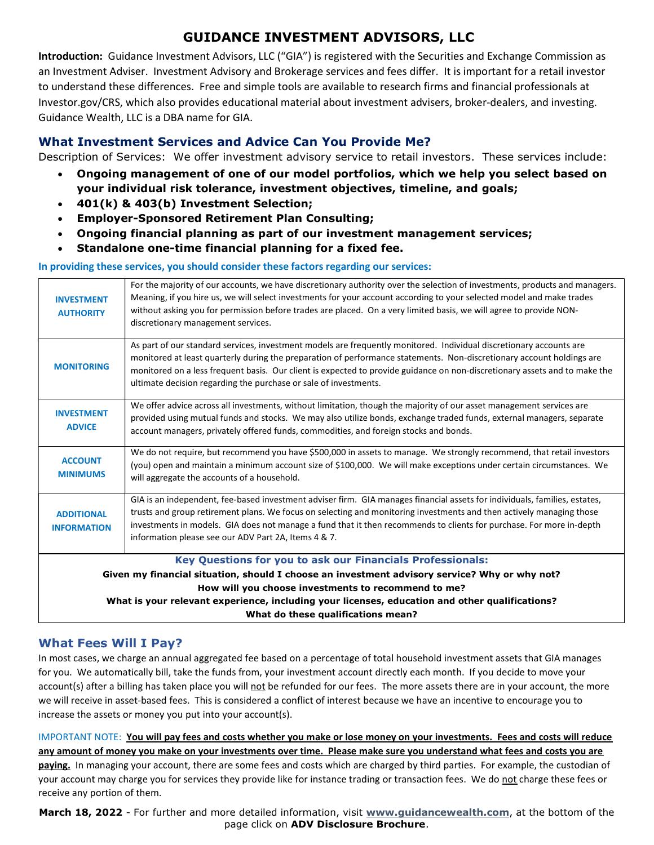# GUIDANCE INVESTMENT ADVISORS, LLC

Introduction: Guidance Investment Advisors, LLC ("GIA") is registered with the Securities and Exchange Commission as an Investment Adviser. Investment Advisory and Brokerage services and fees differ. It is important for a retail investor to understand these differences. Free and simple tools are available to research firms and financial professionals at Investor.gov/CRS, which also provides educational material about investment advisers, broker-dealers, and investing. Guidance Wealth, LLC is a DBA name for GIA.

# What Investment Services and Advice Can You Provide Me?

Description of Services: We offer investment advisory service to retail investors. These services include:

- Ongoing management of one of our model portfolios, which we help you select based on your individual risk tolerance, investment objectives, timeline, and goals;
- 401(k) & 403(b) Investment Selection;
- Employer-Sponsored Retirement Plan Consulting;
- Ongoing financial planning as part of our investment management services;
- Standalone one-time financial planning for a fixed fee.

#### In providing these services, you should consider these factors regarding our services:

| Meaning, if you hire us, we will select investments for your account according to your selected model and make trades<br>without asking you for permission before trades are placed. On a very limited basis, we will agree to provide NON-<br>discretionary management services.                                                                                                                                                              |  |  |  |  |
|------------------------------------------------------------------------------------------------------------------------------------------------------------------------------------------------------------------------------------------------------------------------------------------------------------------------------------------------------------------------------------------------------------------------------------------------|--|--|--|--|
| As part of our standard services, investment models are frequently monitored. Individual discretionary accounts are<br>monitored at least quarterly during the preparation of performance statements. Non-discretionary account holdings are<br>monitored on a less frequent basis. Our client is expected to provide guidance on non-discretionary assets and to make the<br>ultimate decision regarding the purchase or sale of investments. |  |  |  |  |
| We offer advice across all investments, without limitation, though the majority of our asset management services are<br>provided using mutual funds and stocks. We may also utilize bonds, exchange traded funds, external managers, separate<br>account managers, privately offered funds, commodities, and foreign stocks and bonds.                                                                                                         |  |  |  |  |
| We do not require, but recommend you have \$500,000 in assets to manage. We strongly recommend, that retail investors<br>(you) open and maintain a minimum account size of \$100,000. We will make exceptions under certain circumstances. We<br>will aggregate the accounts of a household.                                                                                                                                                   |  |  |  |  |
| GIA is an independent, fee-based investment adviser firm. GIA manages financial assets for individuals, families, estates,<br>trusts and group retirement plans. We focus on selecting and monitoring investments and then actively managing those<br>investments in models. GIA does not manage a fund that it then recommends to clients for purchase. For more in-depth<br>information please see our ADV Part 2A, Items 4 & 7.             |  |  |  |  |
| Key Questions for you to ask our Financials Professionals:                                                                                                                                                                                                                                                                                                                                                                                     |  |  |  |  |
| Given my financial situation, should I choose an investment advisory service? Why or why not?                                                                                                                                                                                                                                                                                                                                                  |  |  |  |  |
| How will you choose investments to recommend to me?<br>What is your relevant experience, including your licenses, education and other qualifications?                                                                                                                                                                                                                                                                                          |  |  |  |  |
| What do these qualifications mean?                                                                                                                                                                                                                                                                                                                                                                                                             |  |  |  |  |
|                                                                                                                                                                                                                                                                                                                                                                                                                                                |  |  |  |  |

## What Fees Will I Pay?

In most cases, we charge an annual aggregated fee based on a percentage of total household investment assets that GIA manages for you. We automatically bill, take the funds from, your investment account directly each month. If you decide to move your account(s) after a billing has taken place you will not be refunded for our fees. The more assets there are in your account, the more we will receive in asset-based fees. This is considered a conflict of interest because we have an incentive to encourage you to increase the assets or money you put into your account(s).

IMPORTANT NOTE: You will pay fees and costs whether you make or lose money on your investments. Fees and costs will reduce any amount of money you make on your investments over time. Please make sure you understand what fees and costs you are paying. In managing your account, there are some fees and costs which are charged by third parties. For example, the custodian of your account may charge you for services they provide like for instance trading or transaction fees. We do not charge these fees or receive any portion of them.

March 18, 2022 - For further and more detailed information, visit www.guidancewealth.com, at the bottom of the page click on ADV Disclosure Brochure.